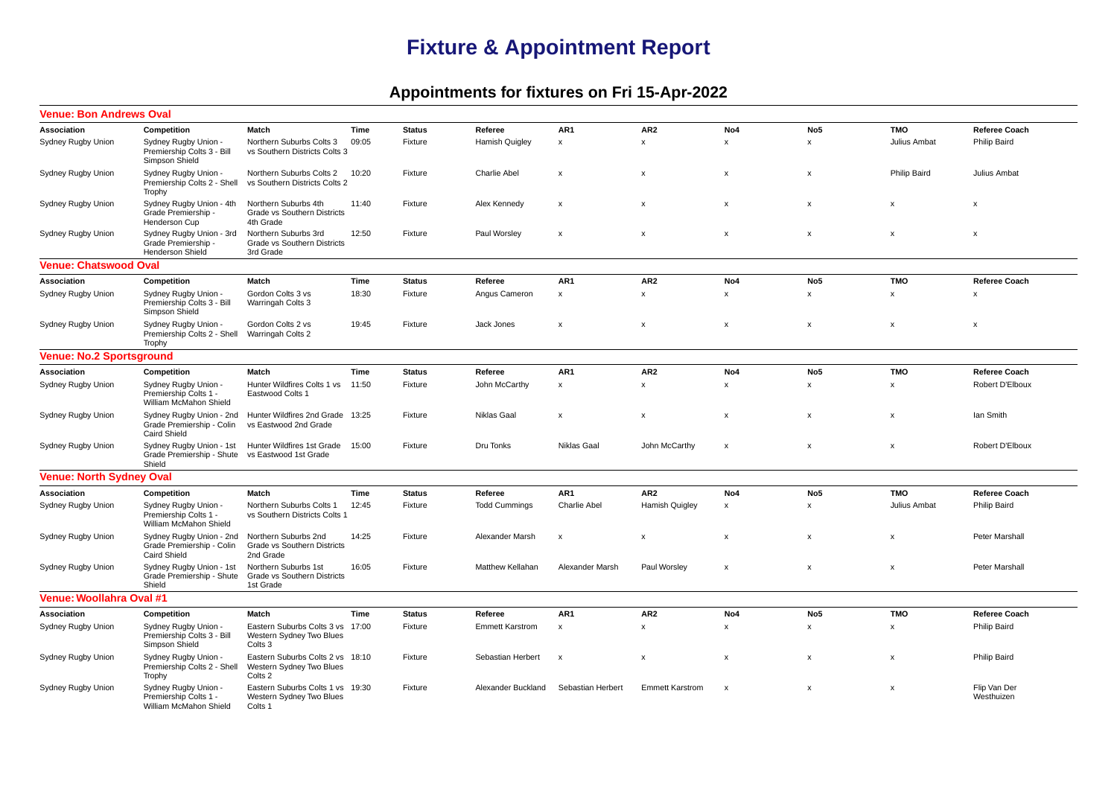## **Fixture & Appointment Report**

## **Appointments for fixtures on Fri 15-Apr-2022**

| <b>Venue: Bon Andrews Oval</b>  |                                                                              |                                                                         |       |               |                         |                           |                           |                           |                           |                           |                            |
|---------------------------------|------------------------------------------------------------------------------|-------------------------------------------------------------------------|-------|---------------|-------------------------|---------------------------|---------------------------|---------------------------|---------------------------|---------------------------|----------------------------|
| Association                     | Competition                                                                  | <b>Match</b>                                                            | Time  | <b>Status</b> | Referee                 | AR <sub>1</sub>           | AR <sub>2</sub>           | No <sub>4</sub>           | No <sub>5</sub>           | <b>TMO</b>                | <b>Referee Coach</b>       |
| Sydney Rugby Union              | Sydney Rugby Union -<br>Premiership Colts 3 - Bill<br>Simpson Shield         | Northern Suburbs Colts 3<br>vs Southern Districts Colts 3               | 09:05 | Fixture       | Hamish Quigley          | $\boldsymbol{\mathsf{x}}$ | $\boldsymbol{\mathsf{x}}$ | $\boldsymbol{\mathsf{x}}$ | $\boldsymbol{\mathsf{x}}$ | Julius Ambat              | Philip Baird               |
| Sydney Rugby Union              | Sydney Rugby Union -<br>Premiership Colts 2 - Shell<br>Trophy                | Northern Suburbs Colts 2<br>vs Southern Districts Colts 2               | 10:20 | Fixture       | Charlie Abel            | $\boldsymbol{\mathsf{x}}$ | $\boldsymbol{\mathsf{x}}$ | $\boldsymbol{\mathsf{x}}$ | $\pmb{\times}$            | Philip Baird              | Julius Ambat               |
| Sydney Rugby Union              | Sydney Rugby Union - 4th<br>Grade Premiership -<br>Henderson Cup             | Northern Suburbs 4th<br>Grade vs Southern Districts<br>4th Grade        | 11:40 | Fixture       | Alex Kennedy            | $\boldsymbol{\mathsf{x}}$ | $\pmb{\mathsf{x}}$        | $\pmb{\mathsf{x}}$        | x                         | x                         | x                          |
| <b>Sydney Rugby Union</b>       | Sydney Rugby Union - 3rd<br>Grade Premiership -<br><b>Henderson Shield</b>   | Northern Suburbs 3rd<br>Grade vs Southern Districts<br>3rd Grade        | 12:50 | Fixture       | Paul Worsley            | $\boldsymbol{\mathsf{x}}$ | $\boldsymbol{\mathsf{x}}$ | $\boldsymbol{\mathsf{x}}$ | $\mathsf{x}$              | $\boldsymbol{\mathsf{x}}$ | $\boldsymbol{\mathsf{x}}$  |
| <b>Venue: Chatswood Oval</b>    |                                                                              |                                                                         |       |               |                         |                           |                           |                           |                           |                           |                            |
| Association                     | Competition                                                                  | Match                                                                   | Time  | <b>Status</b> | Referee                 | AR1                       | AR <sub>2</sub>           | No4                       | No <sub>5</sub>           | <b>TMO</b>                | <b>Referee Coach</b>       |
| Sydney Rugby Union              | Sydney Rugby Union -<br>Premiership Colts 3 - Bill<br>Simpson Shield         | Gordon Colts 3 vs<br>Warringah Colts 3                                  | 18:30 | Fixture       | Angus Cameron           | $\pmb{\chi}$              | $\pmb{\chi}$              | $\pmb{\times}$            | $\pmb{\times}$            | $\mathsf{x}$              | x                          |
| Sydney Rugby Union              | Sydney Rugby Union -<br>Premiership Colts 2 - Shell<br>Trophy                | Gordon Colts 2 vs<br>Warringah Colts 2                                  | 19:45 | Fixture       | Jack Jones              | $\boldsymbol{\mathsf{x}}$ | $\boldsymbol{\mathsf{x}}$ | $\boldsymbol{\mathsf{x}}$ | $\boldsymbol{\mathsf{x}}$ | X                         | $\boldsymbol{\mathsf{x}}$  |
| <b>Venue: No.2 Sportsground</b> |                                                                              |                                                                         |       |               |                         |                           |                           |                           |                           |                           |                            |
| Association                     | Competition                                                                  | Match                                                                   | Time  | <b>Status</b> | Referee                 | AR1                       | AR <sub>2</sub>           | No4                       | No <sub>5</sub>           | <b>TMO</b>                | <b>Referee Coach</b>       |
| Sydney Rugby Union              | Sydney Rugby Union -<br>Premiership Colts 1 -<br>William McMahon Shield      | Hunter Wildfires Colts 1 vs<br>Eastwood Colts 1                         | 11:50 | Fixture       | John McCarthy           | $\boldsymbol{\mathsf{x}}$ | $\boldsymbol{\mathsf{x}}$ | $\boldsymbol{\mathsf{x}}$ | $\boldsymbol{\mathsf{x}}$ | $\pmb{\times}$            | Robert D'Elboux            |
| Sydney Rugby Union              | Sydney Rugby Union - 2nd<br>Grade Premiership - Colin<br><b>Caird Shield</b> | Hunter Wildfires 2nd Grade 13:25<br>vs Eastwood 2nd Grade               |       | Fixture       | Niklas Gaal             | $\boldsymbol{\mathsf{x}}$ | X                         | $\boldsymbol{\mathsf{x}}$ | $\boldsymbol{\mathsf{x}}$ | $\pmb{\chi}$              | lan Smith                  |
| Sydney Rugby Union              | Sydney Rugby Union - 1st<br>Grade Premiership - Shute<br>Shield              | Hunter Wildfires 1st Grade<br>vs Eastwood 1st Grade                     | 15:00 | Fixture       | Dru Tonks               | Niklas Gaal               | John McCarthy             | X                         | х                         | x                         | Robert D'Elboux            |
| <b>Venue: North Sydney Oval</b> |                                                                              |                                                                         |       |               |                         |                           |                           |                           |                           |                           |                            |
| Association                     | Competition                                                                  | Match                                                                   | Time  | <b>Status</b> | Referee                 | AR <sub>1</sub>           | AR <sub>2</sub>           | No4                       | No <sub>5</sub>           | <b>TMO</b>                | <b>Referee Coach</b>       |
| Sydney Rugby Union              | Sydney Rugby Union -<br>Premiership Colts 1 -<br>William McMahon Shield      | Northern Suburbs Colts 1<br>vs Southern Districts Colts 1               | 12:45 | Fixture       | <b>Todd Cummings</b>    | <b>Charlie Abel</b>       | Hamish Quigley            | $\pmb{\times}$            | $\boldsymbol{\mathsf{x}}$ | Julius Ambat              | Philip Baird               |
| Sydney Rugby Union              | Sydney Rugby Union - 2nd<br>Grade Premiership - Colin<br><b>Caird Shield</b> | Northern Suburbs 2nd<br>Grade vs Southern Districts<br>2nd Grade        | 14:25 | Fixture       | Alexander Marsh         | $\boldsymbol{\mathsf{x}}$ | $\boldsymbol{\mathsf{x}}$ | $\boldsymbol{\mathsf{x}}$ | $\boldsymbol{\mathsf{x}}$ | $\boldsymbol{\mathsf{x}}$ | Peter Marshall             |
| Sydney Rugby Union              | Sydney Rugby Union - 1st<br>Grade Premiership - Shute<br>Shield              | Northern Suburbs 1st<br>Grade vs Southern Districts<br>1st Grade        | 16:05 | Fixture       | <b>Matthew Kellahan</b> | Alexander Marsh           | Paul Worsley              | $\boldsymbol{\mathsf{x}}$ | $\boldsymbol{\mathsf{x}}$ | $\mathsf{x}$              | Peter Marshall             |
| Venue: Woollahra Oval #1        |                                                                              |                                                                         |       |               |                         |                           |                           |                           |                           |                           |                            |
| Association                     | Competition                                                                  | Match                                                                   | Time  | <b>Status</b> | Referee                 | AR1                       | AR <sub>2</sub>           | No4                       | No <sub>5</sub>           | <b>TMO</b>                | <b>Referee Coach</b>       |
| Sydney Rugby Union              | Sydney Rugby Union -<br>Premiership Colts 3 - Bill<br>Simpson Shield         | Eastern Suburbs Colts 3 vs<br>Western Sydney Two Blues<br>Colts 3       | 17:00 | Fixture       | <b>Emmett Karstrom</b>  | $\pmb{\chi}$              | $\boldsymbol{\mathsf{x}}$ | $\pmb{\times}$            | $\mathbf{x}$              | $\mathsf{x}$              | Philip Baird               |
| Sydney Rugby Union              | Sydney Rugby Union -<br>Premiership Colts 2 - Shell<br>Trophy                | Eastern Suburbs Colts 2 vs 18:10<br>Western Sydney Two Blues<br>Colts 2 |       | Fixture       | Sebastian Herbert       | $\boldsymbol{\mathsf{x}}$ | X                         | $\boldsymbol{\mathsf{x}}$ | $\boldsymbol{\mathsf{x}}$ | $\pmb{\mathsf{x}}$        | Philip Baird               |
| Sydney Rugby Union              | Sydney Rugby Union -<br>Premiership Colts 1 -<br>William McMahon Shield      | Eastern Suburbs Colts 1 vs 19:30<br>Western Sydney Two Blues<br>Colts 1 |       | Fixture       | Alexander Buckland      | Sebastian Herbert         | <b>Emmett Karstrom</b>    | $\boldsymbol{\mathsf{x}}$ | $\boldsymbol{\mathsf{x}}$ | x                         | Flip Van Der<br>Westhuizen |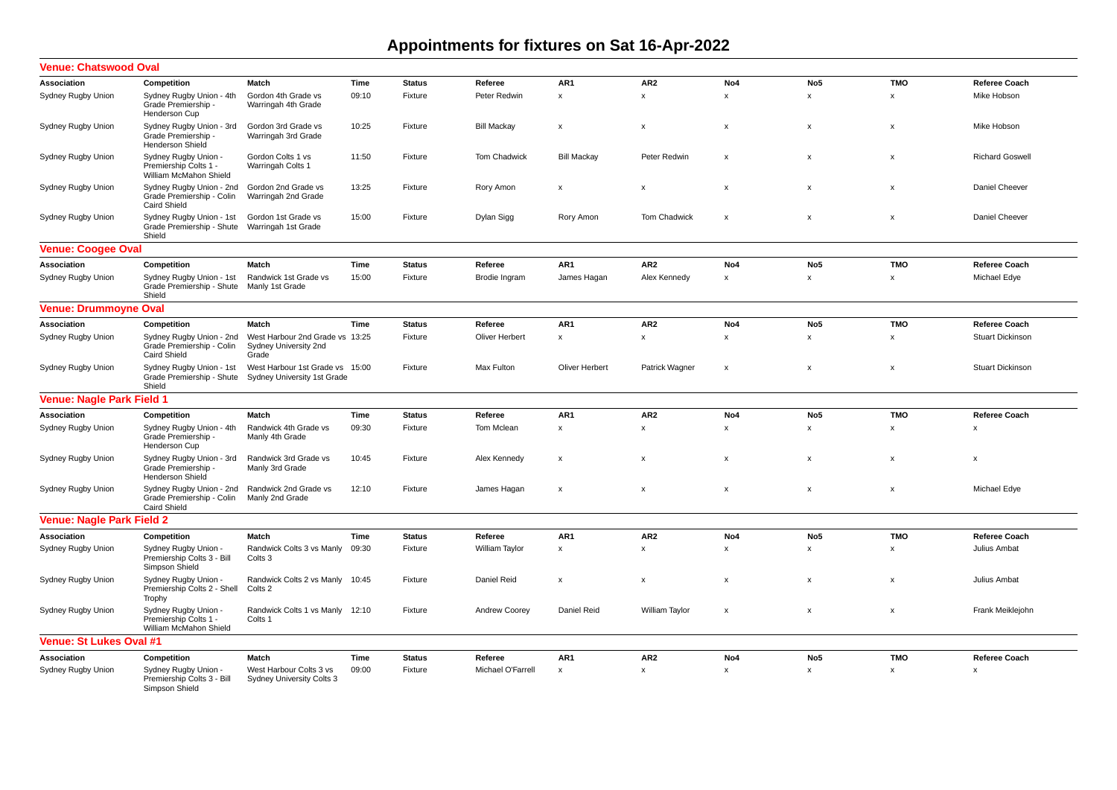## **Appointments for fixtures on Sat 16-Apr-2022**

| <b>Venue: Chatswood Oval</b>     |                                                                              |                                                                   |       |               |                     |                           |                           |                           |                    |                           |                           |
|----------------------------------|------------------------------------------------------------------------------|-------------------------------------------------------------------|-------|---------------|---------------------|---------------------------|---------------------------|---------------------------|--------------------|---------------------------|---------------------------|
| Association                      | Competition                                                                  | Match                                                             | Time  | <b>Status</b> | Referee             | AR1                       | AR <sub>2</sub>           | No4                       | No <sub>5</sub>    | <b>TMO</b>                | Referee Coach             |
| Sydney Rugby Union               | Sydney Rugby Union - 4th<br>Grade Premiership -<br>Henderson Cup             | Gordon 4th Grade vs<br>Warringah 4th Grade                        | 09:10 | Fixture       | Peter Redwin        | $\pmb{\chi}$              | $\mathbf{x}$              | $\mathsf{x}$              | $\mathsf{x}$       | $\boldsymbol{\mathsf{x}}$ | Mike Hobson               |
| Sydney Rugby Union               | Sydney Rugby Union - 3rd<br>Grade Premiership<br>Henderson Shield            | Gordon 3rd Grade vs<br>Warringah 3rd Grade                        | 10:25 | Fixture       | <b>Bill Mackay</b>  | $\boldsymbol{\mathsf{x}}$ | $\boldsymbol{\mathsf{x}}$ | $\boldsymbol{\mathsf{x}}$ | x                  | $\boldsymbol{\mathsf{x}}$ | Mike Hobson               |
| Sydney Rugby Union               | Sydney Rugby Union -<br>Premiership Colts 1 -<br>William McMahon Shield      | Gordon Colts 1 vs<br>Warringah Colts 1                            | 11:50 | Fixture       | <b>Tom Chadwick</b> | <b>Bill Mackav</b>        | Peter Redwin              | $\boldsymbol{\mathsf{x}}$ | x                  | $\boldsymbol{\mathsf{x}}$ | <b>Richard Goswell</b>    |
| Sydney Rugby Union               | Sydney Rugby Union - 2nd<br>Grade Premiership - Colin<br><b>Caird Shield</b> | Gordon 2nd Grade vs<br>Warringah 2nd Grade                        | 13:25 | Fixture       | Rory Amon           | $\pmb{\times}$            | $\boldsymbol{\mathsf{x}}$ | $\pmb{\mathsf{x}}$        | $\mathsf{x}$       | $\boldsymbol{\mathsf{x}}$ | Daniel Cheever            |
| Sydney Rugby Union               | Sydney Rugby Union - 1st<br>Grade Premiership - Shute<br>Shield              | Gordon 1st Grade vs<br>Warringah 1st Grade                        | 15:00 | Fixture       | Dylan Sigg          | Rory Amon                 | Tom Chadwick              | x                         | x                  | X                         | Daniel Cheever            |
| <b>Venue: Coogee Oval</b>        |                                                                              |                                                                   |       |               |                     |                           |                           |                           |                    |                           |                           |
| Association                      | Competition                                                                  | Match                                                             | Time  | <b>Status</b> | Referee             | AR1                       | AR <sub>2</sub>           | No4                       | No <sub>5</sub>    | <b>TMO</b>                | Referee Coach             |
| Sydney Rugby Union               | Sydney Rugby Union - 1st<br>Grade Premiership - Shute<br>Shield              | Randwick 1st Grade vs<br>Manly 1st Grade                          | 15:00 | Fixture       | Brodie Ingram       | James Hagan               | Alex Kennedy              | $\pmb{\mathsf{x}}$        | x                  | X                         | Michael Edye              |
| <b>Venue: Drummoyne Oval</b>     |                                                                              |                                                                   |       |               |                     |                           |                           |                           |                    |                           |                           |
| Association                      | Competition                                                                  | Match                                                             | Time  | <b>Status</b> | Referee             | AR1                       | AR <sub>2</sub>           | No4                       | No <sub>5</sub>    | <b>TMO</b>                | Referee Coach             |
| Sydney Rugby Union               | Sydney Rugby Union - 2nd<br>Grade Premiership - Colin<br><b>Caird Shield</b> | West Harbour 2nd Grade vs 13:25<br>Sydney University 2nd<br>Grade |       | Fixture       | Oliver Herbert      | $\pmb{\mathsf{x}}$        | x                         | $\pmb{\mathsf{x}}$        | x                  | X                         | <b>Stuart Dickinson</b>   |
| Sydney Rugby Union               | Sydney Rugby Union - 1st<br>Grade Premiership - Shute<br>Shield              | West Harbour 1st Grade vs 15:00<br>Sydney University 1st Grade    |       | Fixture       | Max Fulton          | Oliver Herbert            | Patrick Wagner            | $\boldsymbol{\mathsf{x}}$ | X                  | $\boldsymbol{\mathsf{x}}$ | <b>Stuart Dickinson</b>   |
| <b>Venue: Nagle Park Field 1</b> |                                                                              |                                                                   |       |               |                     |                           |                           |                           |                    |                           |                           |
| Association                      | Competition                                                                  | <b>Match</b>                                                      | Time  | <b>Status</b> | Referee             | AR1                       | AR <sub>2</sub>           | No4                       | No <sub>5</sub>    | <b>TMO</b>                | Referee Coach             |
| Sydney Rugby Union               | Sydney Rugby Union - 4th<br>Grade Premiership<br>Henderson Cup               | Randwick 4th Grade vs<br>Manly 4th Grade                          | 09:30 | Fixture       | Tom Mclean          | $\pmb{\times}$            | $\boldsymbol{\mathsf{x}}$ | $\pmb{\mathsf{x}}$        | $\pmb{\mathsf{x}}$ | $\boldsymbol{\mathsf{x}}$ | $\boldsymbol{\mathsf{x}}$ |
| Sydney Rugby Union               | Sydney Rugby Union - 3rd<br>Grade Premiership -<br><b>Henderson Shield</b>   | Randwick 3rd Grade vs<br>Manly 3rd Grade                          | 10:45 | Fixture       | Alex Kennedy        | $\boldsymbol{\mathsf{x}}$ | $\boldsymbol{\mathsf{x}}$ | $\pmb{\times}$            | x                  | $\boldsymbol{\mathsf{x}}$ | $\boldsymbol{\mathsf{x}}$ |
| Sydney Rugby Union               | Sydney Rugby Union - 2nd<br>Grade Premiership - Colin<br><b>Caird Shield</b> | Randwick 2nd Grade vs<br>Manly 2nd Grade                          | 12:10 | Fixture       | James Hagan         | $\boldsymbol{\mathsf{x}}$ | $\boldsymbol{\mathsf{x}}$ | $\pmb{\times}$            | $\mathsf{x}$       | $\boldsymbol{\mathsf{x}}$ | Michael Edye              |
| <b>Venue: Nagle Park Field 2</b> |                                                                              |                                                                   |       |               |                     |                           |                           |                           |                    |                           |                           |
| Association                      | Competition                                                                  | Match                                                             | Time  | <b>Status</b> | Referee             | AR1                       | AR <sub>2</sub>           | No4                       | No <sub>5</sub>    | <b>TMO</b>                | <b>Referee Coach</b>      |
| Sydney Rugby Union               | Sydney Rugby Union -<br>Premiership Colts 3 - Bill<br>Simpson Shield         | Randwick Colts 3 vs Manly<br>Colts 3                              | 09:30 | Fixture       | William Taylor      | $\pmb{\times}$            | $\mathsf{x}$              | $\mathsf{x}$              | $\mathsf{x}$       | $\boldsymbol{\mathsf{x}}$ | Julius Ambat              |
| Sydney Rugby Union               | Sydney Rugby Union -<br>Premiership Colts 2 - Shell<br>Trophy                | Randwick Colts 2 vs Manly<br>Colts 2                              | 10:45 | Fixture       | Daniel Reid         | $\boldsymbol{\mathsf{x}}$ | $\boldsymbol{\mathsf{x}}$ | $\pmb{\mathsf{x}}$        | $\mathsf{x}$       | $\boldsymbol{\mathsf{x}}$ | Julius Ambat              |
| Sydney Rugby Union               | Sydney Rugby Union -<br>Premiership Colts 1 -<br>William McMahon Shield      | Randwick Colts 1 vs Manly<br>Colts 1                              | 12:10 | Fixture       | Andrew Coorey       | Daniel Reid               | William Taylor            | $\pmb{\mathsf{x}}$        | x                  | $\boldsymbol{\mathsf{x}}$ | Frank Meiklejohn          |
| <b>Venue: St Lukes Oval #1</b>   |                                                                              |                                                                   |       |               |                     |                           |                           |                           |                    |                           |                           |
| Association                      | Competition                                                                  | Match                                                             | Time  | <b>Status</b> | Referee             | AR <sub>1</sub>           | AR <sub>2</sub>           | No <sub>4</sub>           | No <sub>5</sub>    | <b>TMO</b>                | Referee Coach             |
| Sydney Rugby Union               | Sydney Rugby Union -<br>Premiership Colts 3 - Bill<br>Simpson Shield         | West Harbour Colts 3 vs<br>Sydney University Colts 3              | 09:00 | Fixture       | Michael O'Farrell   | $\boldsymbol{\mathsf{x}}$ | $\mathsf{x}$              | $\mathsf{x}$              | $\mathsf{x}$       | X                         | $\boldsymbol{\mathsf{x}}$ |